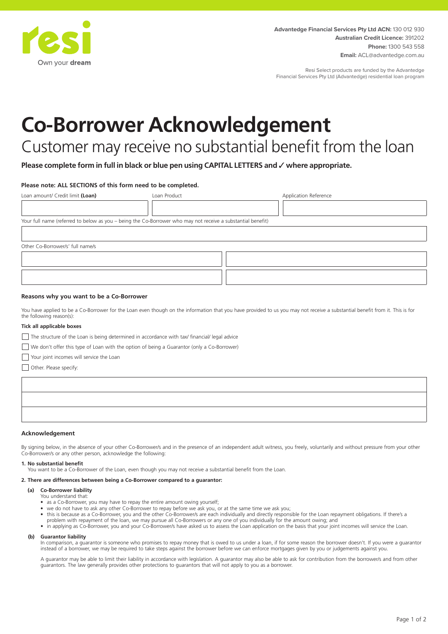

Resi Select products are funded by the Advantedge Financial Services Pty Ltd (Advantedge) residential loan program

# **Co-Borrower Acknowledgement**

# Customer may receive no substantial benefit from the loan

**Please complete form in full in black or blue pen using CAPITAL LETTERS and** ✓ **where appropriate.**

# **Please note: ALL SECTIONS of this form need to be completed.**

| Loan amount/ Credit limit (Loan)                                                                            | Loan Product |  | Application Reference |  |
|-------------------------------------------------------------------------------------------------------------|--------------|--|-----------------------|--|
|                                                                                                             |              |  |                       |  |
| Your full name (referred to below as you - being the Co-Borrower who may not receive a substantial benefit) |              |  |                       |  |
|                                                                                                             |              |  |                       |  |
| Other Co-Borrower/s' full name/s                                                                            |              |  |                       |  |
|                                                                                                             |              |  |                       |  |
|                                                                                                             |              |  |                       |  |

# **Reasons why you want to be a Co-Borrower**

You have applied to be a Co-Borrower for the Loan even though on the information that you have provided to us you may not receive a substantial benefit from it. This is for the following reason(s):

## **Tick all applicable boxes**

 $\Box$  The structure of the Loan is being determined in accordance with tax/ financial/ legal advice

We don't offer this type of Loan with the option of being a Guarantor (only a Co-Borrower)

Your joint incomes will service the Loan

Other. Please specify:

## **Acknowledgement**

By signing below, in the absence of your other Co-Borrower/s and in the presence of an independent adult witness, you freely, voluntarily and without pressure from your other Co-Borrower/s or any other person, acknowledge the following:

#### **1. No substantial benefit**

You want to be a Co-Borrower of the Loan, even though you may not receive a substantial benefit from the Loan.

## **2. There are differences between being a Co-Borrower compared to a guarantor:**

#### **(a) Co-Borrower liability** You understand that:

- as a Co-Borrower, you may have to repay the entire amount owing yourself;
- we do not have to ask any other Co-Borrower to repay before we ask you, or at the same time we ask you;
- this is because as a Co-Borrower, you and the other Co-Borrower/s are each individually and directly responsible for the Loan repayment obligations. If there's a problem with repayment of the loan, we may pursue all Co-Borrowers or any one of you individually for the amount owing; and
- in applying as Co-Borrower, you and your Co-Borrower/s have asked us to assess the Loan application on the basis that your joint incomes will service the Loan.

#### **(b) Guarantor liability**

In comparison, a guarantor is someone who promises to repay money that is owed to us under a loan, if for some reason the borrower doesn't. If you were a guarantor instead of a borrower, we may be required to take steps against the borrower before we can enforce mortgages given by you or judgements against you.

A guarantor may be able to limit their liability in accordance with legislation. A guarantor may also be able to ask for contribution from the borrower/s and from other guarantors. The law generally provides other protections to guarantors that will not apply to you as a borrower.